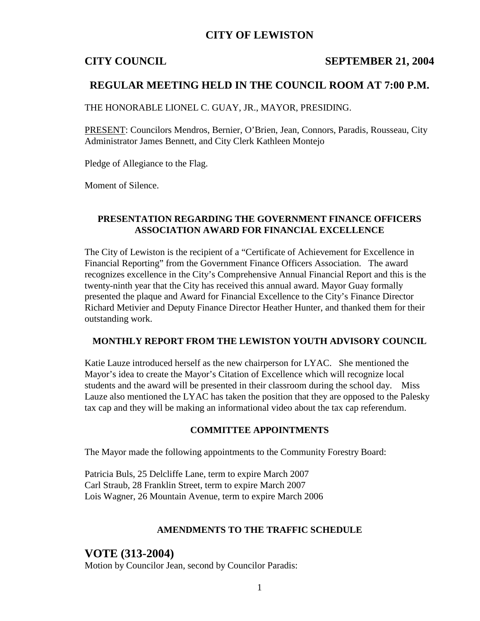## **CITY OF LEWISTON**

### **CITY COUNCIL SEPTEMBER 21, 2004**

### **REGULAR MEETING HELD IN THE COUNCIL ROOM AT 7:00 P.M.**

THE HONORABLE LIONEL C. GUAY, JR., MAYOR, PRESIDING.

PRESENT: Councilors Mendros, Bernier, O'Brien, Jean, Connors, Paradis, Rousseau, City Administrator James Bennett, and City Clerk Kathleen Montejo

Pledge of Allegiance to the Flag.

Moment of Silence.

### **PRESENTATION REGARDING THE GOVERNMENT FINANCE OFFICERS ASSOCIATION AWARD FOR FINANCIAL EXCELLENCE**

The City of Lewiston is the recipient of a "Certificate of Achievement for Excellence in Financial Reporting" from the Government Finance Officers Association. The award recognizes excellence in the City's Comprehensive Annual Financial Report and this is the twenty-ninth year that the City has received this annual award. Mayor Guay formally presented the plaque and Award for Financial Excellence to the City's Finance Director Richard Metivier and Deputy Finance Director Heather Hunter, and thanked them for their outstanding work.

### **MONTHLY REPORT FROM THE LEWISTON YOUTH ADVISORY COUNCIL**

Katie Lauze introduced herself as the new chairperson for LYAC. She mentioned the Mayor's idea to create the Mayor's Citation of Excellence which will recognize local students and the award will be presented in their classroom during the school day. Miss Lauze also mentioned the LYAC has taken the position that they are opposed to the Palesky tax cap and they will be making an informational video about the tax cap referendum.

### **COMMITTEE APPOINTMENTS**

The Mayor made the following appointments to the Community Forestry Board:

Patricia Buls, 25 Delcliffe Lane, term to expire March 2007 Carl Straub, 28 Franklin Street, term to expire March 2007 Lois Wagner, 26 Mountain Avenue, term to expire March 2006

### **AMENDMENTS TO THE TRAFFIC SCHEDULE**

### **VOTE (313-2004)**

Motion by Councilor Jean, second by Councilor Paradis: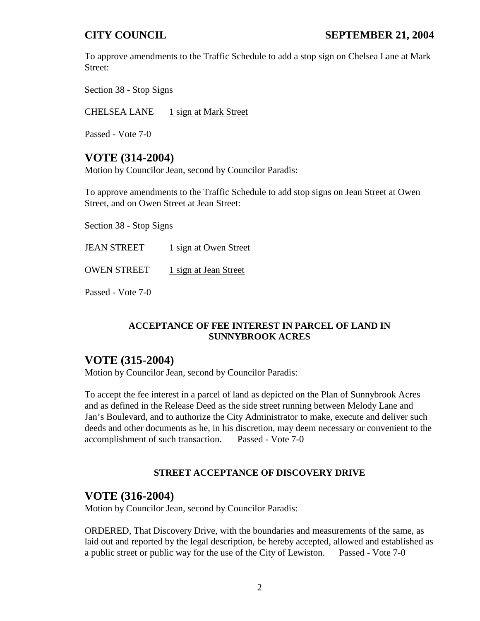To approve amendments to the Traffic Schedule to add a stop sign on Chelsea Lane at Mark Street:

Section 38 - Stop Signs

CHELSEA LANE 1 sign at Mark Street

Passed - Vote 7-0

## **VOTE (314-2004)**

Motion by Councilor Jean, second by Councilor Paradis:

To approve amendments to the Traffic Schedule to add stop signs on Jean Street at Owen Street, and on Owen Street at Jean Street:

Section 38 - Stop Signs

JEAN STREET 1 sign at Owen Street OWEN STREET 1 sign at Jean Street

Passed - Vote 7-0

### **ACCEPTANCE OF FEE INTEREST IN PARCEL OF LAND IN SUNNYBROOK ACRES**

# **VOTE (315-2004)**

Motion by Councilor Jean, second by Councilor Paradis:

To accept the fee interest in a parcel of land as depicted on the Plan of Sunnybrook Acres and as defined in the Release Deed as the side street running between Melody Lane and Jan's Boulevard, and to authorize the City Administrator to make, execute and deliver such deeds and other documents as he, in his discretion, may deem necessary or convenient to the accomplishment of such transaction. Passed - Vote 7-0

### **STREET ACCEPTANCE OF DISCOVERY DRIVE**

## **VOTE (316-2004)**

Motion by Councilor Jean, second by Councilor Paradis:

ORDERED, That Discovery Drive, with the boundaries and measurements of the same, as laid out and reported by the legal description, be hereby accepted, allowed and established as a public street or public way for the use of the City of Lewiston. Passed - Vote 7-0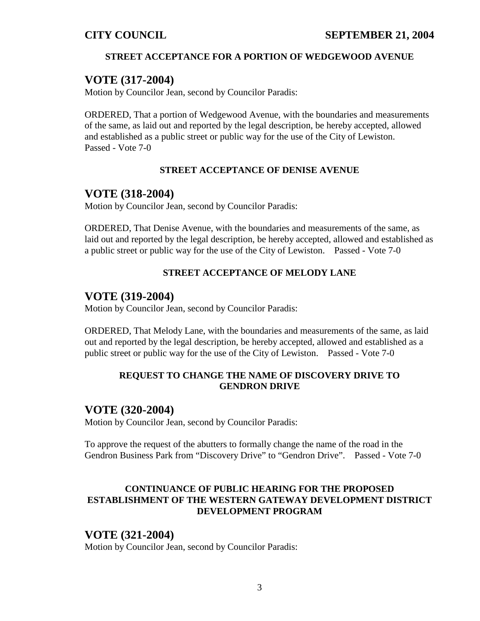### **STREET ACCEPTANCE FOR A PORTION OF WEDGEWOOD AVENUE**

## **VOTE (317-2004)**

Motion by Councilor Jean, second by Councilor Paradis:

ORDERED, That a portion of Wedgewood Avenue, with the boundaries and measurements of the same, as laid out and reported by the legal description, be hereby accepted, allowed and established as a public street or public way for the use of the City of Lewiston. Passed - Vote 7-0

### **STREET ACCEPTANCE OF DENISE AVENUE**

# **VOTE (318-2004)**

Motion by Councilor Jean, second by Councilor Paradis:

ORDERED, That Denise Avenue, with the boundaries and measurements of the same, as laid out and reported by the legal description, be hereby accepted, allowed and established as a public street or public way for the use of the City of Lewiston. Passed - Vote 7-0

## **STREET ACCEPTANCE OF MELODY LANE**

## **VOTE (319-2004)**

Motion by Councilor Jean, second by Councilor Paradis:

ORDERED, That Melody Lane, with the boundaries and measurements of the same, as laid out and reported by the legal description, be hereby accepted, allowed and established as a public street or public way for the use of the City of Lewiston. Passed - Vote 7-0

### **REQUEST TO CHANGE THE NAME OF DISCOVERY DRIVE TO GENDRON DRIVE**

## **VOTE (320-2004)**

Motion by Councilor Jean, second by Councilor Paradis:

To approve the request of the abutters to formally change the name of the road in the Gendron Business Park from "Discovery Drive" to "Gendron Drive". Passed - Vote 7-0

## **CONTINUANCE OF PUBLIC HEARING FOR THE PROPOSED ESTABLISHMENT OF THE WESTERN GATEWAY DEVELOPMENT DISTRICT DEVELOPMENT PROGRAM**

## **VOTE (321-2004)**

Motion by Councilor Jean, second by Councilor Paradis: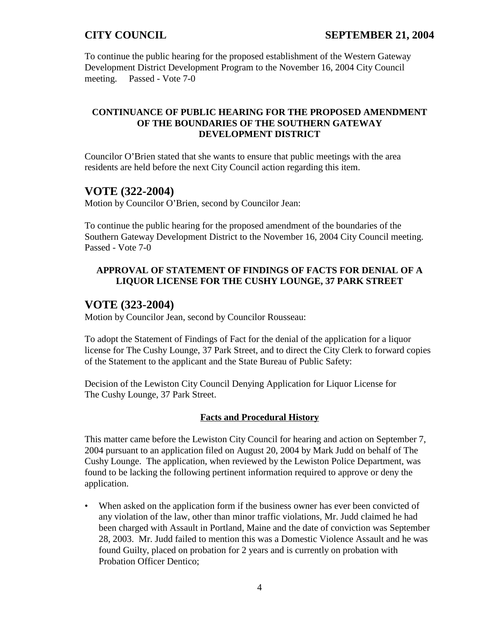To continue the public hearing for the proposed establishment of the Western Gateway Development District Development Program to the November 16, 2004 City Council meeting. Passed - Vote 7-0

### **CONTINUANCE OF PUBLIC HEARING FOR THE PROPOSED AMENDMENT OF THE BOUNDARIES OF THE SOUTHERN GATEWAY DEVELOPMENT DISTRICT**

Councilor O'Brien stated that she wants to ensure that public meetings with the area residents are held before the next City Council action regarding this item.

# **VOTE (322-2004)**

Motion by Councilor O'Brien, second by Councilor Jean:

To continue the public hearing for the proposed amendment of the boundaries of the Southern Gateway Development District to the November 16, 2004 City Council meeting. Passed - Vote 7-0

## **APPROVAL OF STATEMENT OF FINDINGS OF FACTS FOR DENIAL OF A LIQUOR LICENSE FOR THE CUSHY LOUNGE, 37 PARK STREET**

# **VOTE (323-2004)**

Motion by Councilor Jean, second by Councilor Rousseau:

To adopt the Statement of Findings of Fact for the denial of the application for a liquor license for The Cushy Lounge, 37 Park Street, and to direct the City Clerk to forward copies of the Statement to the applicant and the State Bureau of Public Safety:

Decision of the Lewiston City Council Denying Application for Liquor License for The Cushy Lounge, 37 Park Street.

### **Facts and Procedural History**

This matter came before the Lewiston City Council for hearing and action on September 7, 2004 pursuant to an application filed on August 20, 2004 by Mark Judd on behalf of The Cushy Lounge. The application, when reviewed by the Lewiston Police Department, was found to be lacking the following pertinent information required to approve or deny the application.

• When asked on the application form if the business owner has ever been convicted of any violation of the law, other than minor traffic violations, Mr. Judd claimed he had been charged with Assault in Portland, Maine and the date of conviction was September 28, 2003. Mr. Judd failed to mention this was a Domestic Violence Assault and he was found Guilty, placed on probation for 2 years and is currently on probation with Probation Officer Dentico;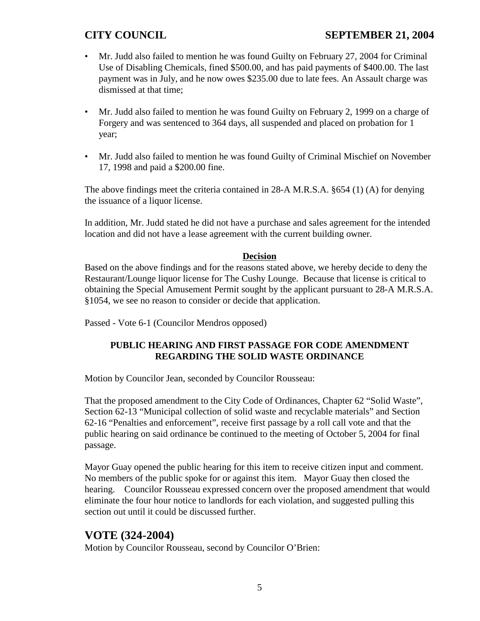# **CITY COUNCIL SEPTEMBER 21, 2004**

- Mr. Judd also failed to mention he was found Guilty on February 27, 2004 for Criminal Use of Disabling Chemicals, fined \$500.00, and has paid payments of \$400.00. The last payment was in July, and he now owes \$235.00 due to late fees. An Assault charge was dismissed at that time;
- Mr. Judd also failed to mention he was found Guilty on February 2, 1999 on a charge of Forgery and was sentenced to 364 days, all suspended and placed on probation for 1 year;
- Mr. Judd also failed to mention he was found Guilty of Criminal Mischief on November 17, 1998 and paid a \$200.00 fine.

The above findings meet the criteria contained in 28-A M.R.S.A. §654 (1) (A) for denying the issuance of a liquor license.

In addition, Mr. Judd stated he did not have a purchase and sales agreement for the intended location and did not have a lease agreement with the current building owner.

### **Decision**

Based on the above findings and for the reasons stated above, we hereby decide to deny the Restaurant/Lounge liquor license for The Cushy Lounge. Because that license is critical to obtaining the Special Amusement Permit sought by the applicant pursuant to 28-A M.R.S.A. §1054, we see no reason to consider or decide that application.

Passed - Vote 6-1 (Councilor Mendros opposed)

## **PUBLIC HEARING AND FIRST PASSAGE FOR CODE AMENDMENT REGARDING THE SOLID WASTE ORDINANCE**

Motion by Councilor Jean, seconded by Councilor Rousseau:

That the proposed amendment to the City Code of Ordinances, Chapter 62 "Solid Waste", Section 62-13 "Municipal collection of solid waste and recyclable materials" and Section 62-16 "Penalties and enforcement", receive first passage by a roll call vote and that the public hearing on said ordinance be continued to the meeting of October 5, 2004 for final passage.

Mayor Guay opened the public hearing for this item to receive citizen input and comment. No members of the public spoke for or against this item. Mayor Guay then closed the hearing. Councilor Rousseau expressed concern over the proposed amendment that would eliminate the four hour notice to landlords for each violation, and suggested pulling this section out until it could be discussed further.

# **VOTE (324-2004)**

Motion by Councilor Rousseau, second by Councilor O'Brien: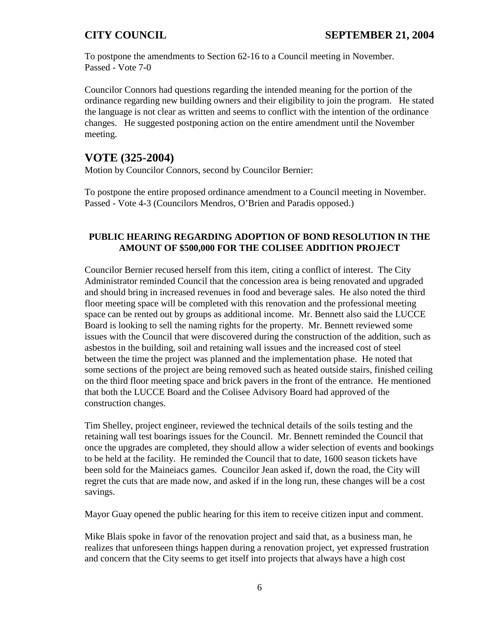To postpone the amendments to Section 62-16 to a Council meeting in November. Passed - Vote 7-0

Councilor Connors had questions regarding the intended meaning for the portion of the ordinance regarding new building owners and their eligibility to join the program. He stated the language is not clear as written and seems to conflict with the intention of the ordinance changes. He suggested postponing action on the entire amendment until the November meeting.

# **VOTE (325-2004)**

Motion by Councilor Connors, second by Councilor Bernier:

To postpone the entire proposed ordinance amendment to a Council meeting in November. Passed - Vote 4-3 (Councilors Mendros, O'Brien and Paradis opposed.)

### **PUBLIC HEARING REGARDING ADOPTION OF BOND RESOLUTION IN THE AMOUNT OF \$500,000 FOR THE COLISEE ADDITION PROJECT**

Councilor Bernier recused herself from this item, citing a conflict of interest. The City Administrator reminded Council that the concession area is being renovated and upgraded and should bring in increased revenues in food and beverage sales. He also noted the third floor meeting space will be completed with this renovation and the professional meeting space can be rented out by groups as additional income. Mr. Bennett also said the LUCCE Board is looking to sell the naming rights for the property. Mr. Bennett reviewed some issues with the Council that were discovered during the construction of the addition, such as asbestos in the building, soil and retaining wall issues and the increased cost of steel between the time the project was planned and the implementation phase. He noted that some sections of the project are being removed such as heated outside stairs, finished ceiling on the third floor meeting space and brick pavers in the front of the entrance. He mentioned that both the LUCCE Board and the Colisee Advisory Board had approved of the construction changes.

Tim Shelley, project engineer, reviewed the technical details of the soils testing and the retaining wall test boarings issues for the Council. Mr. Bennett reminded the Council that once the upgrades are completed, they should allow a wider selection of events and bookings to be held at the facility. He reminded the Council that to date, 1600 season tickets have been sold for the Maineiacs games. Councilor Jean asked if, down the road, the City will regret the cuts that are made now, and asked if in the long run, these changes will be a cost savings.

Mayor Guay opened the public hearing for this item to receive citizen input and comment.

Mike Blais spoke in favor of the renovation project and said that, as a business man, he realizes that unforeseen things happen during a renovation project, yet expressed frustration and concern that the City seems to get itself into projects that always have a high cost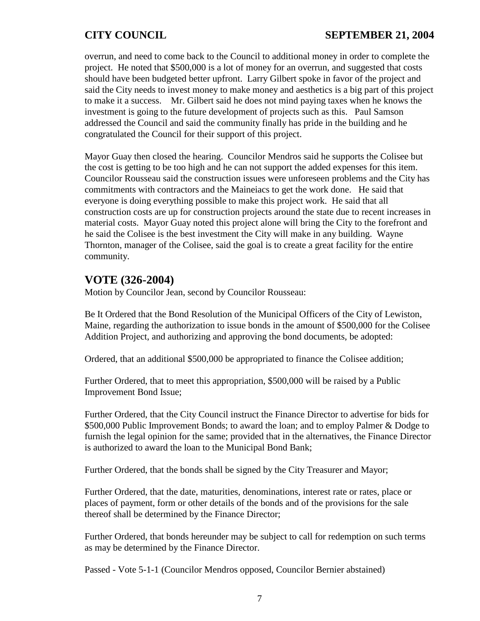overrun, and need to come back to the Council to additional money in order to complete the project. He noted that \$500,000 is a lot of money for an overrun, and suggested that costs should have been budgeted better upfront. Larry Gilbert spoke in favor of the project and said the City needs to invest money to make money and aesthetics is a big part of this project to make it a success. Mr. Gilbert said he does not mind paying taxes when he knows the investment is going to the future development of projects such as this. Paul Samson addressed the Council and said the community finally has pride in the building and he congratulated the Council for their support of this project.

Mayor Guay then closed the hearing. Councilor Mendros said he supports the Colisee but the cost is getting to be too high and he can not support the added expenses for this item. Councilor Rousseau said the construction issues were unforeseen problems and the City has commitments with contractors and the Maineiacs to get the work done. He said that everyone is doing everything possible to make this project work. He said that all construction costs are up for construction projects around the state due to recent increases in material costs. Mayor Guay noted this project alone will bring the City to the forefront and he said the Colisee is the best investment the City will make in any building. Wayne Thornton, manager of the Colisee, said the goal is to create a great facility for the entire community.

# **VOTE (326-2004)**

Motion by Councilor Jean, second by Councilor Rousseau:

Be It Ordered that the Bond Resolution of the Municipal Officers of the City of Lewiston, Maine, regarding the authorization to issue bonds in the amount of \$500,000 for the Colisee Addition Project, and authorizing and approving the bond documents, be adopted:

Ordered, that an additional \$500,000 be appropriated to finance the Colisee addition;

Further Ordered, that to meet this appropriation, \$500,000 will be raised by a Public Improvement Bond Issue;

Further Ordered, that the City Council instruct the Finance Director to advertise for bids for \$500,000 Public Improvement Bonds; to award the loan; and to employ Palmer & Dodge to furnish the legal opinion for the same; provided that in the alternatives, the Finance Director is authorized to award the loan to the Municipal Bond Bank;

Further Ordered, that the bonds shall be signed by the City Treasurer and Mayor;

Further Ordered, that the date, maturities, denominations, interest rate or rates, place or places of payment, form or other details of the bonds and of the provisions for the sale thereof shall be determined by the Finance Director;

Further Ordered, that bonds hereunder may be subject to call for redemption on such terms as may be determined by the Finance Director.

Passed - Vote 5-1-1 (Councilor Mendros opposed, Councilor Bernier abstained)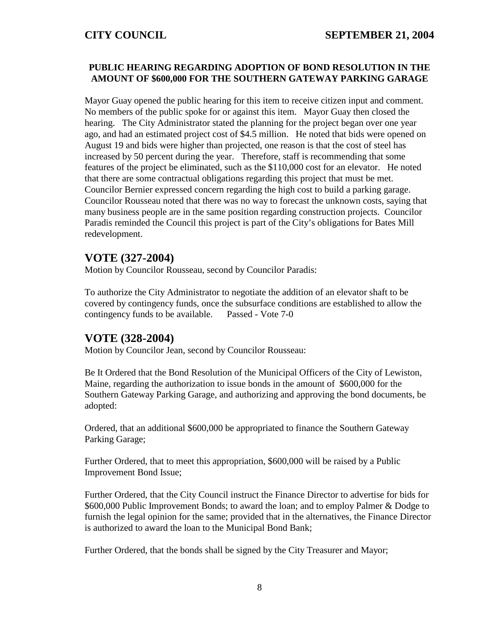### **PUBLIC HEARING REGARDING ADOPTION OF BOND RESOLUTION IN THE AMOUNT OF \$600,000 FOR THE SOUTHERN GATEWAY PARKING GARAGE**

Mayor Guay opened the public hearing for this item to receive citizen input and comment. No members of the public spoke for or against this item. Mayor Guay then closed the hearing. The City Administrator stated the planning for the project began over one year ago, and had an estimated project cost of \$4.5 million. He noted that bids were opened on August 19 and bids were higher than projected, one reason is that the cost of steel has increased by 50 percent during the year. Therefore, staff is recommending that some features of the project be eliminated, such as the \$110,000 cost for an elevator. He noted that there are some contractual obligations regarding this project that must be met. Councilor Bernier expressed concern regarding the high cost to build a parking garage. Councilor Rousseau noted that there was no way to forecast the unknown costs, saying that many business people are in the same position regarding construction projects. Councilor Paradis reminded the Council this project is part of the City's obligations for Bates Mill redevelopment.

# **VOTE (327-2004)**

Motion by Councilor Rousseau, second by Councilor Paradis:

To authorize the City Administrator to negotiate the addition of an elevator shaft to be covered by contingency funds, once the subsurface conditions are established to allow the contingency funds to be available. Passed - Vote 7-0

# **VOTE (328-2004)**

Motion by Councilor Jean, second by Councilor Rousseau:

Be It Ordered that the Bond Resolution of the Municipal Officers of the City of Lewiston, Maine, regarding the authorization to issue bonds in the amount of \$600,000 for the Southern Gateway Parking Garage, and authorizing and approving the bond documents, be adopted:

Ordered, that an additional \$600,000 be appropriated to finance the Southern Gateway Parking Garage;

Further Ordered, that to meet this appropriation, \$600,000 will be raised by a Public Improvement Bond Issue;

Further Ordered, that the City Council instruct the Finance Director to advertise for bids for \$600,000 Public Improvement Bonds; to award the loan; and to employ Palmer & Dodge to furnish the legal opinion for the same; provided that in the alternatives, the Finance Director is authorized to award the loan to the Municipal Bond Bank;

Further Ordered, that the bonds shall be signed by the City Treasurer and Mayor;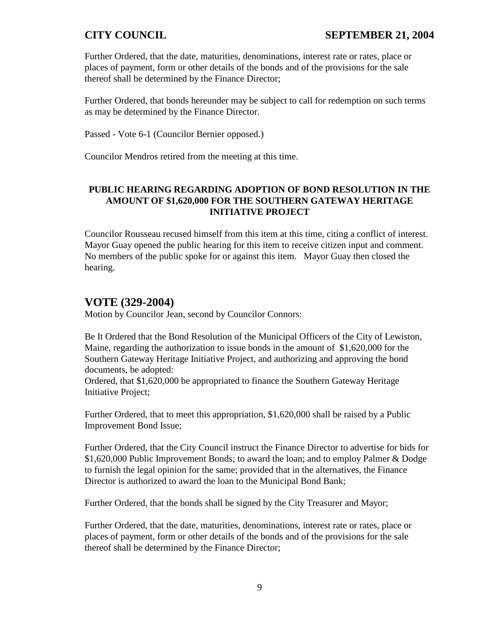Further Ordered, that the date, maturities, denominations, interest rate or rates, place or places of payment, form or other details of the bonds and of the provisions for the sale thereof shall be determined by the Finance Director;

Further Ordered, that bonds hereunder may be subject to call for redemption on such terms as may be determined by the Finance Director.

Passed - Vote 6-1 (Councilor Bernier opposed.)

Councilor Mendros retired from the meeting at this time.

### **PUBLIC HEARING REGARDING ADOPTION OF BOND RESOLUTION IN THE AMOUNT OF \$1,620,000 FOR THE SOUTHERN GATEWAY HERITAGE INITIATIVE PROJECT**

Councilor Rousseau recused himself from this item at this time, citing a conflict of interest. Mayor Guay opened the public hearing for this item to receive citizen input and comment. No members of the public spoke for or against this item. Mayor Guay then closed the hearing.

# **VOTE (329-2004)**

Motion by Councilor Jean, second by Councilor Connors:

Be It Ordered that the Bond Resolution of the Municipal Officers of the City of Lewiston, Maine, regarding the authorization to issue bonds in the amount of \$1,620,000 for the Southern Gateway Heritage Initiative Project, and authorizing and approving the bond documents, be adopted:

Ordered, that \$1,620,000 be appropriated to finance the Southern Gateway Heritage Initiative Project;

Further Ordered, that to meet this appropriation, \$1,620,000 shall be raised by a Public Improvement Bond Issue;

Further Ordered, that the City Council instruct the Finance Director to advertise for bids for \$1,620,000 Public Improvement Bonds; to award the loan; and to employ Palmer & Dodge to furnish the legal opinion for the same; provided that in the alternatives, the Finance Director is authorized to award the loan to the Municipal Bond Bank;

Further Ordered, that the bonds shall be signed by the City Treasurer and Mayor;

Further Ordered, that the date, maturities, denominations, interest rate or rates, place or places of payment, form or other details of the bonds and of the provisions for the sale thereof shall be determined by the Finance Director;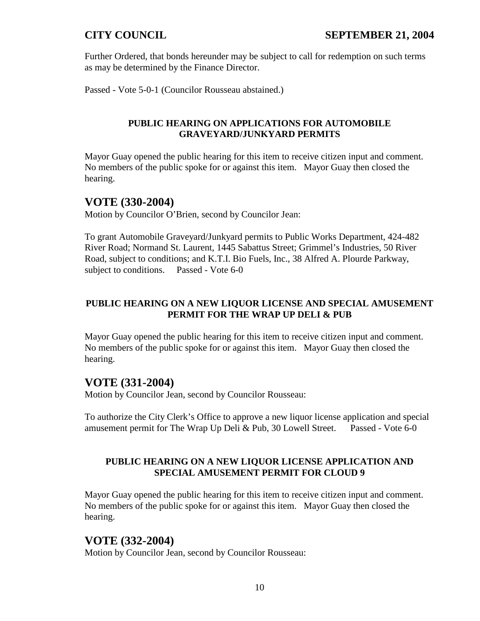Further Ordered, that bonds hereunder may be subject to call for redemption on such terms as may be determined by the Finance Director.

Passed - Vote 5-0-1 (Councilor Rousseau abstained.)

### **PUBLIC HEARING ON APPLICATIONS FOR AUTOMOBILE GRAVEYARD/JUNKYARD PERMITS**

Mayor Guay opened the public hearing for this item to receive citizen input and comment. No members of the public spoke for or against this item. Mayor Guay then closed the hearing.

## **VOTE (330-2004)**

Motion by Councilor O'Brien, second by Councilor Jean:

To grant Automobile Graveyard/Junkyard permits to Public Works Department, 424-482 River Road; Normand St. Laurent, 1445 Sabattus Street; Grimmel's Industries, 50 River Road, subject to conditions; and K.T.I. Bio Fuels, Inc., 38 Alfred A. Plourde Parkway, subject to conditions. Passed - Vote 6-0

### **PUBLIC HEARING ON A NEW LIQUOR LICENSE AND SPECIAL AMUSEMENT PERMIT FOR THE WRAP UP DELI & PUB**

Mayor Guay opened the public hearing for this item to receive citizen input and comment. No members of the public spoke for or against this item. Mayor Guay then closed the hearing.

# **VOTE (331-2004)**

Motion by Councilor Jean, second by Councilor Rousseau:

To authorize the City Clerk's Office to approve a new liquor license application and special amusement permit for The Wrap Up Deli & Pub, 30 Lowell Street. Passed - Vote 6-0

## **PUBLIC HEARING ON A NEW LIQUOR LICENSE APPLICATION AND SPECIAL AMUSEMENT PERMIT FOR CLOUD 9**

Mayor Guay opened the public hearing for this item to receive citizen input and comment. No members of the public spoke for or against this item. Mayor Guay then closed the hearing.

# **VOTE (332-2004)**

Motion by Councilor Jean, second by Councilor Rousseau: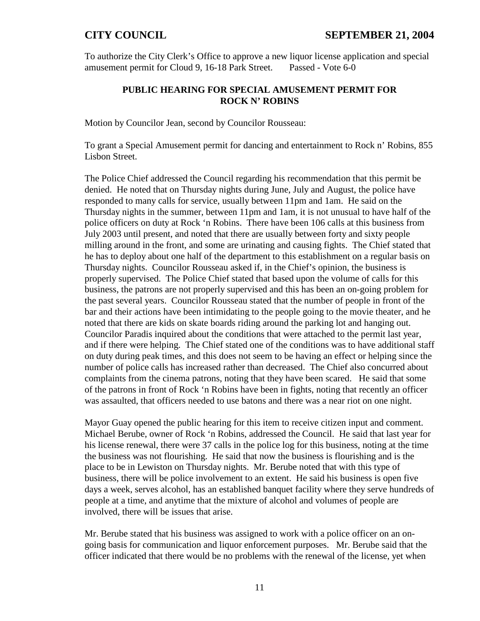To authorize the City Clerk's Office to approve a new liquor license application and special amusement permit for Cloud 9, 16-18 Park Street. Passed - Vote 6-0

### **PUBLIC HEARING FOR SPECIAL AMUSEMENT PERMIT FOR ROCK N' ROBINS**

Motion by Councilor Jean, second by Councilor Rousseau:

To grant a Special Amusement permit for dancing and entertainment to Rock n' Robins, 855 Lisbon Street.

The Police Chief addressed the Council regarding his recommendation that this permit be denied. He noted that on Thursday nights during June, July and August, the police have responded to many calls for service, usually between 11pm and 1am. He said on the Thursday nights in the summer, between 11pm and 1am, it is not unusual to have half of the police officers on duty at Rock 'n Robins. There have been 106 calls at this business from July 2003 until present, and noted that there are usually between forty and sixty people milling around in the front, and some are urinating and causing fights. The Chief stated that he has to deploy about one half of the department to this establishment on a regular basis on Thursday nights. Councilor Rousseau asked if, in the Chief's opinion, the business is properly supervised. The Police Chief stated that based upon the volume of calls for this business, the patrons are not properly supervised and this has been an on-going problem for the past several years. Councilor Rousseau stated that the number of people in front of the bar and their actions have been intimidating to the people going to the movie theater, and he noted that there are kids on skate boards riding around the parking lot and hanging out. Councilor Paradis inquired about the conditions that were attached to the permit last year, and if there were helping. The Chief stated one of the conditions was to have additional staff on duty during peak times, and this does not seem to be having an effect or helping since the number of police calls has increased rather than decreased. The Chief also concurred about complaints from the cinema patrons, noting that they have been scared. He said that some of the patrons in front of Rock 'n Robins have been in fights, noting that recently an officer was assaulted, that officers needed to use batons and there was a near riot on one night.

Mayor Guay opened the public hearing for this item to receive citizen input and comment. Michael Berube, owner of Rock 'n Robins, addressed the Council. He said that last year for his license renewal, there were 37 calls in the police log for this business, noting at the time the business was not flourishing. He said that now the business is flourishing and is the place to be in Lewiston on Thursday nights. Mr. Berube noted that with this type of business, there will be police involvement to an extent. He said his business is open five days a week, serves alcohol, has an established banquet facility where they serve hundreds of people at a time, and anytime that the mixture of alcohol and volumes of people are involved, there will be issues that arise.

Mr. Berube stated that his business was assigned to work with a police officer on an ongoing basis for communication and liquor enforcement purposes. Mr. Berube said that the officer indicated that there would be no problems with the renewal of the license, yet when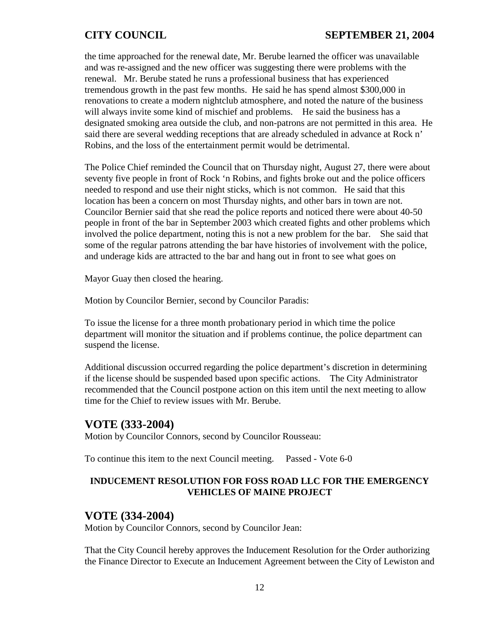the time approached for the renewal date, Mr. Berube learned the officer was unavailable and was re-assigned and the new officer was suggesting there were problems with the renewal. Mr. Berube stated he runs a professional business that has experienced tremendous growth in the past few months. He said he has spend almost \$300,000 in renovations to create a modern nightclub atmosphere, and noted the nature of the business will always invite some kind of mischief and problems. He said the business has a designated smoking area outside the club, and non-patrons are not permitted in this area. He said there are several wedding receptions that are already scheduled in advance at Rock n' Robins, and the loss of the entertainment permit would be detrimental.

The Police Chief reminded the Council that on Thursday night, August 27, there were about seventy five people in front of Rock 'n Robins, and fights broke out and the police officers needed to respond and use their night sticks, which is not common. He said that this location has been a concern on most Thursday nights, and other bars in town are not. Councilor Bernier said that she read the police reports and noticed there were about 40-50 people in front of the bar in September 2003 which created fights and other problems which involved the police department, noting this is not a new problem for the bar. She said that some of the regular patrons attending the bar have histories of involvement with the police, and underage kids are attracted to the bar and hang out in front to see what goes on

Mayor Guay then closed the hearing.

Motion by Councilor Bernier, second by Councilor Paradis:

To issue the license for a three month probationary period in which time the police department will monitor the situation and if problems continue, the police department can suspend the license.

Additional discussion occurred regarding the police department's discretion in determining if the license should be suspended based upon specific actions. The City Administrator recommended that the Council postpone action on this item until the next meeting to allow time for the Chief to review issues with Mr. Berube.

## **VOTE (333-2004)**

Motion by Councilor Connors, second by Councilor Rousseau:

To continue this item to the next Council meeting. Passed - Vote 6-0

### **INDUCEMENT RESOLUTION FOR FOSS ROAD LLC FOR THE EMERGENCY VEHICLES OF MAINE PROJECT**

### **VOTE (334-2004)**

Motion by Councilor Connors, second by Councilor Jean:

That the City Council hereby approves the Inducement Resolution for the Order authorizing the Finance Director to Execute an Inducement Agreement between the City of Lewiston and